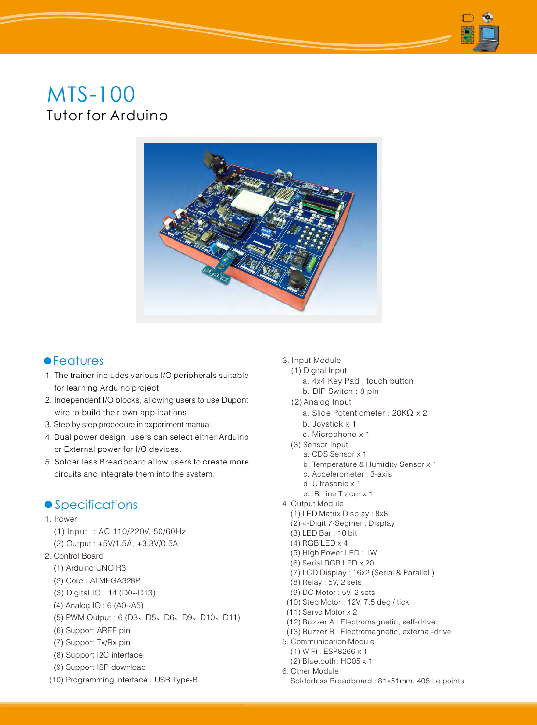# MTS-100 Tutor for Arduino



## **•**Features

- 1. The trainer includes various I/O peripherals suitable for learning Arduino project.
- 2. Independent I/O blocks, allowing users to use Dupont wire to build their own applications.
- 3. Step by step procedure in experiment manual.
- 4. Dual power design, users can select either Arduino or External power for I/O devices.
- 5. Solder less Breadboard allow users to create more circuits and integrate them into the system.

## **• Specifications**

- 1. Power
	- (1) Input : AC 110/220V, 50/60Hz
	- (2) Output : +5V/1.5A, +3.3V/0.5A
- 2. Control Board
	- (1) Arduino UNO R3
	- (2) Core : ATMEGA328P
	- (3) Digital IO : 14 (D0~D13)
	- (4) Analog IO : 6 (A0~A5)
	- (5) PWM Output : 6 (D3、D5、D6、D9、D10、D11)
	- (6) Support AREF pin
	- (7) Support Tx/Rx pin
	- (8) Support I2C interface
	- (9) Support ISP download
- (10) Programming interface : USB Type-B

#### 3. Input Module

- (1) Digital Input
	- a. 4x4 Key Pad : touch button
	- b. DIP Switch : 8 pin
- (2) Analog Input
	- a. Slide Potentiometer : 20K $\Omega$  x 2
	- b. Joystick x 1
	- c. Microphone x 1
- (3) Sensor Input
	- a. CDS Sensor x 1
	- b. Temperature & Humidity Sensor x 1
	- c. Accelerometer : 3-axis
	- d. Ultrasonic x 1
- e. IR Line Tracer x 1
- 4. Output Module
	- (1) LED Matrix Display : 8x8
	- (2) 4-Digit 7-Segment Display
	- (3) LED Bar : 10 bit
	- (4) RGB LED x 4
	- (5) High Power LED : 1W
	- (6) Serial RGB LED x 20
	- (7) LCD Display : 16x2 (Serial & Parallel )
	- (8) Relay : 5V, 2 sets
	- (9) DC Motor : 5V, 2 sets
- (10) Step Motor : 12V, 7.5 deg / tick
- (11) Servo Motor x 2
- (12) Buzzer A : Electromagnetic, self-drive
- (13) Buzzer B : Electromagnetic, external-drive
- 5. Communication Module
	- (1) WiFi : ESP8266 x 1
	- (2) Bluetooth: HC05 x 1
- 6. Other Module Solderless Breadboard : 81x51mm, 408 tie points